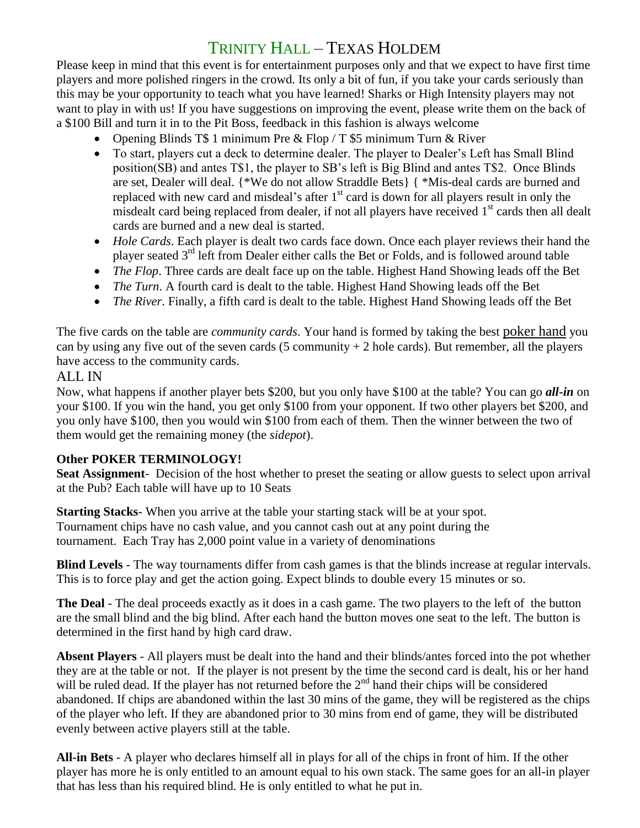## TRINITY HALL – TEXAS HOLDEM

Please keep in mind that this event is for entertainment purposes only and that we expect to have first time players and more polished ringers in the crowd. Its only a bit of fun, if you take your cards seriously than this may be your opportunity to teach what you have learned! Sharks or High Intensity players may not want to play in with us! If you have suggestions on improving the event, please write them on the back of a \$100 Bill and turn it in to the Pit Boss, feedback in this fashion is always welcome

- Opening Blinds T\$ 1 minimum Pre & Flop / T \$5 minimum Turn & River
- To start, players cut a deck to determine dealer. The player to Dealer's Left has Small Blind position(SB) and antes T\$1, the player to SB's left is Big Blind and antes T\$2. Once Blinds are set, Dealer will deal. {\*We do not allow Straddle Bets} { \*Mis-deal cards are burned and replaced with new card and misdeal's after  $1<sup>st</sup>$  card is down for all players result in only the misdealt card being replaced from dealer, if not all players have received 1<sup>st</sup> cards then all dealt cards are burned and a new deal is started.
- *Hole Cards*. Each player is dealt two cards face down. Once each player reviews their hand the player seated 3rd left from Dealer either calls the Bet or Folds, and is followed around table
- *The Flop*. Three cards are dealt face up on the table. Highest Hand Showing leads off the Bet
- *The Turn*. A fourth card is dealt to the table. Highest Hand Showing leads off the Bet
- *The River*. Finally, a fifth card is dealt to the table. Highest Hand Showing leads off the Bet

The five cards on the table are *community cards*. Your hand is formed by taking the best [poker hand](http://www.pokertips.org/rules/hand-rankings.php) you can by using any five out of the seven cards (5 community  $+2$  hole cards). But remember, all the players have access to the community cards.

## ALL IN

Now, what happens if another player bets \$200, but you only have \$100 at the table? You can go *all-in* on your \$100. If you win the hand, you get only \$100 from your opponent. If two other players bet \$200, and you only have \$100, then you would win \$100 from each of them. Then the winner between the two of them would get the remaining money (the *sidepot*).

## **Other POKER TERMINOLOGY!**

**Seat Assignment**- Decision of the host whether to preset the seating or allow guests to select upon arrival at the Pub? Each table will have up to 10 Seats

**Starting Stacks**- When you arrive at the table your starting stack will be at your spot. Tournament chips have no cash value, and you cannot cash out at any point during the tournament. Each Tray has 2,000 point value in a variety of denominations

**Blind Levels** - The way tournaments differ from cash games is that the blinds increase at regular intervals. This is to force play and get the action going. Expect blinds to double every 15 minutes or so.

**The Deal** - The deal proceeds exactly as it does in a cash game. The two players to the left of the button are the small blind and the big blind. After each hand the button moves one seat to the left. The button is determined in the first hand by high card draw.

**Absent Players** - All players must be dealt into the hand and their blinds/antes forced into the pot whether they are at the table or not. If the player is not present by the time the second card is dealt, his or her hand will be ruled dead. If the player has not returned before the  $2<sup>nd</sup>$  hand their chips will be considered abandoned. If chips are abandoned within the last 30 mins of the game, they will be registered as the chips of the player who left. If they are abandoned prior to 30 mins from end of game, they will be distributed evenly between active players still at the table.

**All-in Bets** - A player who declares himself all in plays for all of the chips in front of him. If the other player has more he is only entitled to an amount equal to his own stack. The same goes for an all-in player that has less than his required blind. He is only entitled to what he put in.